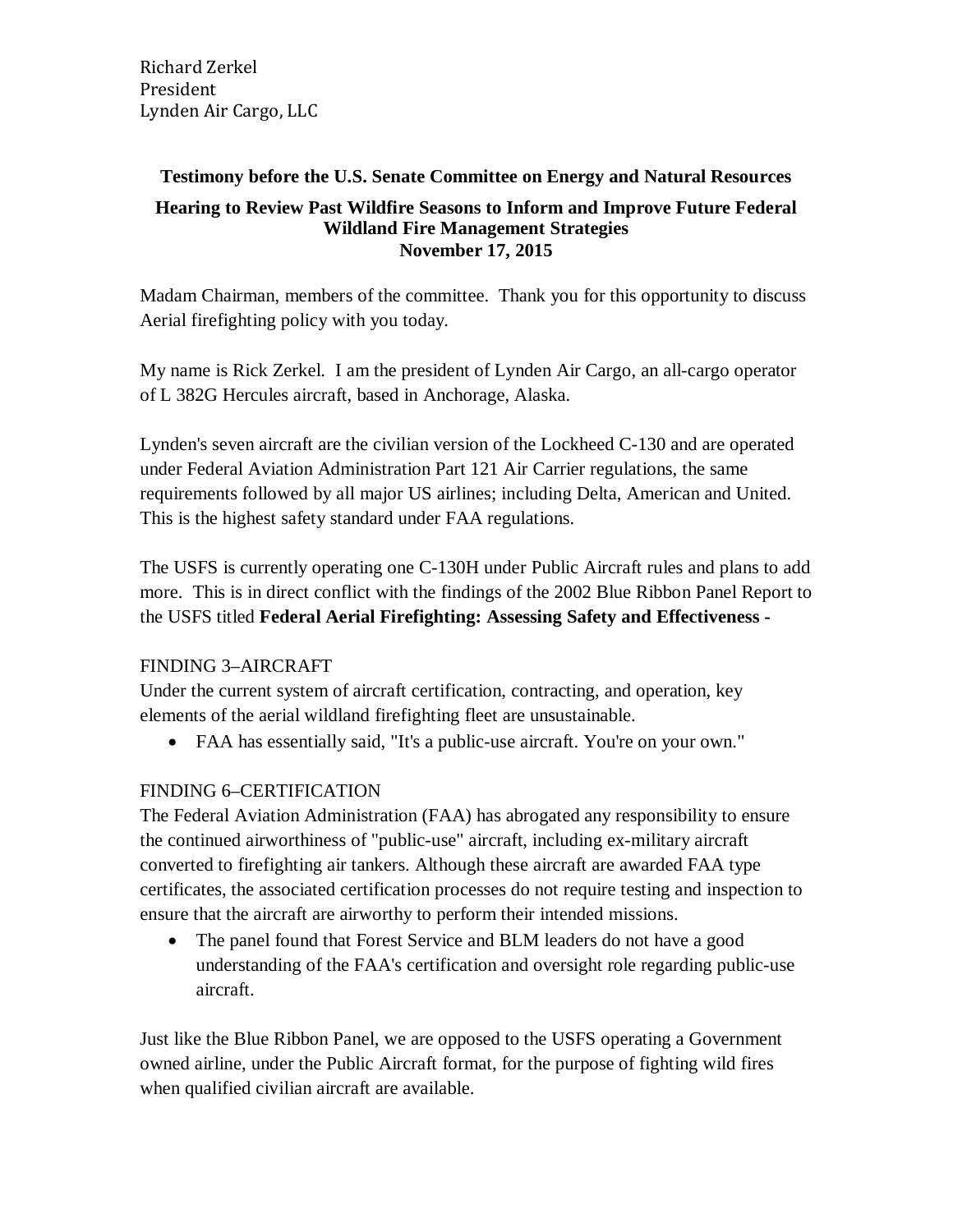Richard Zerkel President Lynden Air Cargo, LLC

## **Testimony before the U.S. Senate Committee on Energy and Natural Resources Hearing to Review Past Wildfire Seasons to Inform and Improve Future Federal Wildland Fire Management Strategies November 17, 2015**

Madam Chairman, members of the committee. Thank you for this opportunity to discuss Aerial firefighting policy with you today.

My name is Rick Zerkel. I am the president of Lynden Air Cargo, an all-cargo operator of L 382G Hercules aircraft, based in Anchorage, Alaska.

Lynden's seven aircraft are the civilian version of the Lockheed C-130 and are operated under Federal Aviation Administration Part 121 Air Carrier regulations, the same requirements followed by all major US airlines; including Delta, American and United. This is the highest safety standard under FAA regulations.

The USFS is currently operating one C-130H under Public Aircraft rules and plans to add more. This is in direct conflict with the findings of the 2002 Blue Ribbon Panel Report to the USFS titled **Federal Aerial Firefighting: Assessing Safety and Effectiveness -**

## FINDING 3–AIRCRAFT

Under the current system of aircraft certification, contracting, and operation, key elements of the aerial wildland firefighting fleet are unsustainable.

• FAA has essentially said, "It's a public-use aircraft. You're on your own."

## FINDING 6–CERTIFICATION

The Federal Aviation Administration (FAA) has abrogated any responsibility to ensure the continued airworthiness of "public-use" aircraft, including ex-military aircraft converted to firefighting air tankers. Although these aircraft are awarded FAA type certificates, the associated certification processes do not require testing and inspection to ensure that the aircraft are airworthy to perform their intended missions.

• The panel found that Forest Service and BLM leaders do not have a good understanding of the FAA's certification and oversight role regarding public-use aircraft.

Just like the Blue Ribbon Panel, we are opposed to the USFS operating a Government owned airline, under the Public Aircraft format, for the purpose of fighting wild fires when qualified civilian aircraft are available.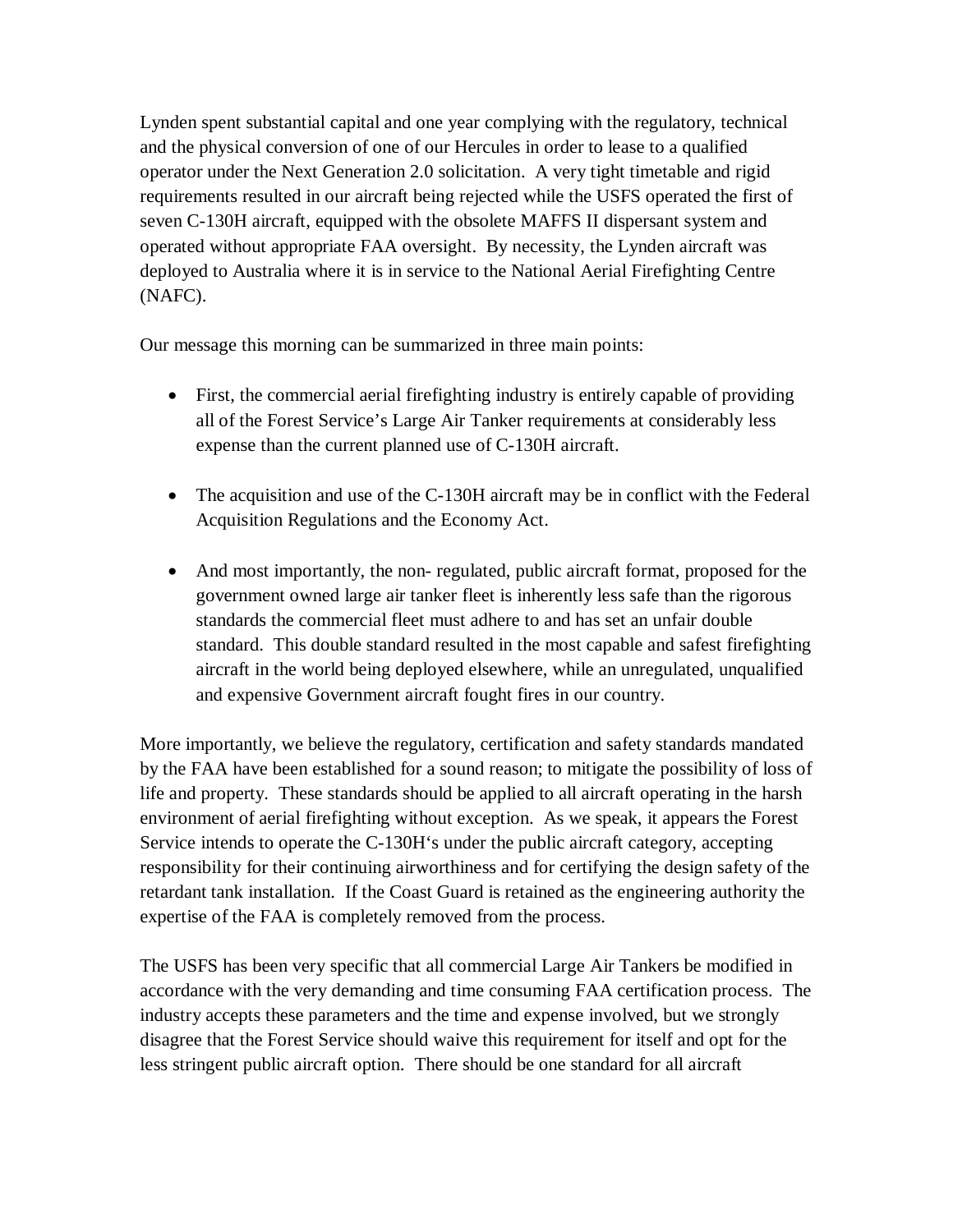Lynden spent substantial capital and one year complying with the regulatory, technical and the physical conversion of one of our Hercules in order to lease to a qualified operator under the Next Generation 2.0 solicitation. A very tight timetable and rigid requirements resulted in our aircraft being rejected while the USFS operated the first of seven C-130H aircraft, equipped with the obsolete MAFFS II dispersant system and operated without appropriate FAA oversight. By necessity, the Lynden aircraft was deployed to Australia where it is in service to the National Aerial Firefighting Centre (NAFC).

Our message this morning can be summarized in three main points:

- First, the commercial aerial firefighting industry is entirely capable of providing all of the Forest Service's Large Air Tanker requirements at considerably less expense than the current planned use of C-130H aircraft.
- The acquisition and use of the C-130H aircraft may be in conflict with the Federal Acquisition Regulations and the Economy Act.
- And most importantly, the non-regulated, public aircraft format, proposed for the government owned large air tanker fleet is inherently less safe than the rigorous standards the commercial fleet must adhere to and has set an unfair double standard. This double standard resulted in the most capable and safest firefighting aircraft in the world being deployed elsewhere, while an unregulated, unqualified and expensive Government aircraft fought fires in our country.

More importantly, we believe the regulatory, certification and safety standards mandated by the FAA have been established for a sound reason; to mitigate the possibility of loss of life and property. These standards should be applied to all aircraft operating in the harsh environment of aerial firefighting without exception. As we speak, it appears the Forest Service intends to operate the C-130H's under the public aircraft category, accepting responsibility for their continuing airworthiness and for certifying the design safety of the retardant tank installation. If the Coast Guard is retained as the engineering authority the expertise of the FAA is completely removed from the process.

The USFS has been very specific that all commercial Large Air Tankers be modified in accordance with the very demanding and time consuming FAA certification process. The industry accepts these parameters and the time and expense involved, but we strongly disagree that the Forest Service should waive this requirement for itself and opt for the less stringent public aircraft option. There should be one standard for all aircraft